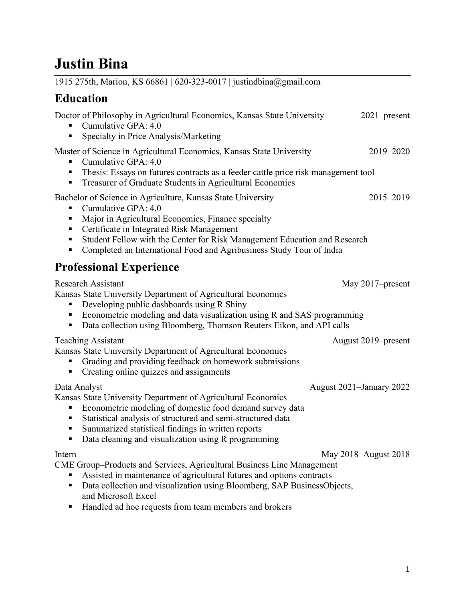# **Justin Bina**

| 1915 275th, Marion, KS 66861   620-323-0017   justindbina@gmail.com                                                                                                                                                                                                                                                                                                 |                          |
|---------------------------------------------------------------------------------------------------------------------------------------------------------------------------------------------------------------------------------------------------------------------------------------------------------------------------------------------------------------------|--------------------------|
| <b>Education</b>                                                                                                                                                                                                                                                                                                                                                    |                          |
| Doctor of Philosophy in Agricultural Economics, Kansas State University<br>Cumulative GPA: 4.0<br>Specialty in Price Analysis/Marketing<br>п                                                                                                                                                                                                                        | 2021-present             |
| Master of Science in Agricultural Economics, Kansas State University<br>Cumulative GPA: 4.0<br>п<br>Thesis: Essays on futures contracts as a feeder cattle price risk management tool<br>п<br>Treasurer of Graduate Students in Agricultural Economics<br>п                                                                                                         | 2019-2020                |
| Bachelor of Science in Agriculture, Kansas State University<br>Cumulative GPA: 4.0<br>п<br>Major in Agricultural Economics, Finance specialty<br>п<br>Certificate in Integrated Risk Management<br>п<br>Student Fellow with the Center for Risk Management Education and Research<br>п<br>Completed an International Food and Agribusiness Study Tour of India<br>п | 2015-2019                |
| <b>Professional Experience</b>                                                                                                                                                                                                                                                                                                                                      |                          |
| <b>Research Assistant</b><br>Kansas State University Department of Agricultural Economics<br>Developing public dashboards using R Shiny<br>п<br>Econometric modeling and data visualization using R and SAS programming<br>Е<br>Data collection using Bloomberg, Thomson Reuters Eikon, and API calls<br>п                                                          | May 2017–present         |
| <b>Teaching Assistant</b><br>Kansas State University Department of Agricultural Economics<br>Grading and providing feedback on homework submissions<br>Creating online quizzes and assignments<br>п                                                                                                                                                                 | August 2019–present      |
| Data Analyst<br>Kansas State University Department of Agricultural Economics<br>Econometric modeling of domestic food demand survey data<br>Statistical analysis of structured and semi-structured data<br>Summarized statistical findings in written reports<br>Data cleaning and visualization using R programming<br>п                                           | August 2021–January 2022 |
| Intern<br>CME Group–Products and Services, Agricultural Business Line Management<br>Assisted in maintenance of agricultural futures and options contracts<br>п<br>Data collection and visualization using Bloomberg, SAP BusinessObjects,<br>٠<br>and Microsoft Excel<br>Handled ad hoc requests from team members and brokers                                      | May 2018–August 2018     |

Handled ad hoc requests from team members and brokers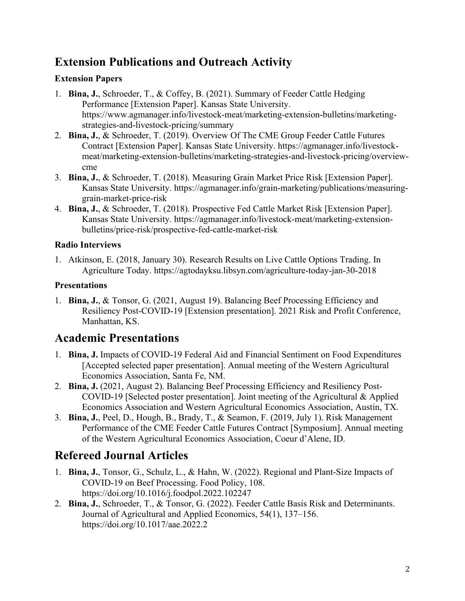## **Extension Publications and Outreach Activity**

#### **Extension Papers**

- 1. **Bina, J.**, Schroeder, T., & Coffey, B. (2021). Summary of Feeder Cattle Hedging Performance [Extension Paper]. Kansas State University. https://www.agmanager.info/livestock-meat/marketing-extension-bulletins/marketingstrategies-and-livestock-pricing/summary
- 2. **Bina, J.**, & Schroeder, T. (2019). Overview Of The CME Group Feeder Cattle Futures Contract [Extension Paper]. Kansas State University. https://agmanager.info/livestockmeat/marketing-extension-bulletins/marketing-strategies-and-livestock-pricing/overviewcme
- 3. **Bina, J.**, & Schroeder, T. (2018). Measuring Grain Market Price Risk [Extension Paper]. Kansas State University. https://agmanager.info/grain-marketing/publications/measuringgrain-market-price-risk
- 4. **Bina, J.**, & Schroeder, T. (2018). Prospective Fed Cattle Market Risk [Extension Paper]. Kansas State University. https://agmanager.info/livestock-meat/marketing-extensionbulletins/price-risk/prospective-fed-cattle-market-risk

#### **Radio Interviews**

1. Atkinson, E. (2018, January 30). Research Results on Live Cattle Options Trading. In Agriculture Today. https://agtodayksu.libsyn.com/agriculture-today-jan-30-2018

#### **Presentations**

1. **Bina, J.**, & Tonsor, G. (2021, August 19). Balancing Beef Processing Efficiency and Resiliency Post-COVID-19 [Extension presentation]. 2021 Risk and Profit Conference, Manhattan, KS.

### **Academic Presentations**

- 1. **Bina, J.** Impacts of COVID-19 Federal Aid and Financial Sentiment on Food Expenditures [Accepted selected paper presentation]. Annual meeting of the Western Agricultural Economics Association, Santa Fe, NM.
- 2. **Bina, J.** (2021, August 2). Balancing Beef Processing Efficiency and Resiliency Post-COVID-19 [Selected poster presentation]. Joint meeting of the Agricultural & Applied Economics Association and Western Agricultural Economics Association, Austin, TX.
- 3. **Bina, J.**, Peel, D., Hough, B., Brady, T., & Seamon, F. (2019, July 1). Risk Management Performance of the CME Feeder Cattle Futures Contract [Symposium]. Annual meeting of the Western Agricultural Economics Association, Coeur d'Alene, ID.

### **Refereed Journal Articles**

- 1. **Bina, J.**, Tonsor, G., Schulz, L., & Hahn, W. (2022). Regional and Plant-Size Impacts of COVID-19 on Beef Processing. Food Policy, 108. https://doi.org/10.1016/j.foodpol.2022.102247
- 2. **Bina, J.**, Schroeder, T., & Tonsor, G. (2022). Feeder Cattle Basis Risk and Determinants. Journal of Agricultural and Applied Economics, 54(1), 137–156. https://doi.org/10.1017/aae.2022.2